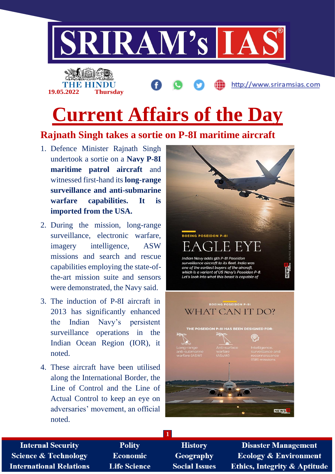

# **Current Affairs of the Day**

# **Rajnath Singh takes a sortie on P-8I maritime aircraft**

- 1. Defence Minister Rajnath Singh undertook a sortie on a **Navy P-8I maritime patrol aircraft** and witnessed first-hand its **long-range surveillance and anti-submarine warfare capabilities. It is imported from the USA.**
- 2. During the mission, long-range surveillance, electronic warfare, imagery intelligence, ASW missions and search and rescue capabilities employing the state-ofthe-art mission suite and sensors were demonstrated, the Navy said.
- 3. The induction of P-8I aircraft in 2013 has significantly enhanced the Indian Navy's persistent surveillance operations in the Indian Ocean Region (IOR), it noted.
- 4. These aircraft have been utilised along the International Border, the Line of Control and the Line of Actual Control to keep an eye on adversaries' movement, an official noted.



**Internal Security Science & Technology International Relations** 

**Polity** Economic **Life Science** 

**History** Geography **Social Issues** 

**1**

**Disaster Management Ecology & Environment** Ethics, Integrity & Aptitude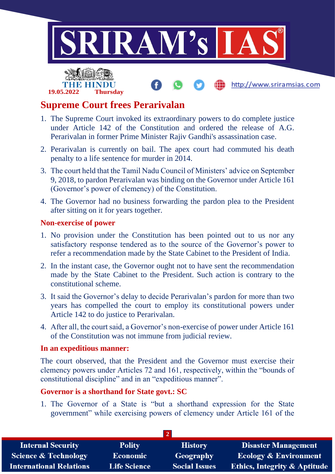

# **Supreme Court frees Perarivalan**

**19.05.2022 Thursday**

- 1. The Supreme Court invoked its extraordinary powers to do complete justice under Article 142 of the Constitution and ordered the release of A.G. Perarivalan in former Prime Minister Rajiv Gandhi's assassination case.
- 2. Perarivalan is currently on bail. The apex court had commuted his death penalty to a life sentence for murder in 2014.
- 3. The court held that the Tamil Nadu Council of Ministers' advice on September 9, 2018, to pardon Perarivalan was binding on the Governor under Article 161 (Governor's power of clemency) of the Constitution.
- 4. The Governor had no business forwarding the pardon plea to the President after sitting on it for years together.

#### **Non-exercise of power**

- 1. No provision under the Constitution has been pointed out to us nor any satisfactory response tendered as to the source of the Governor's power to refer a recommendation made by the State Cabinet to the President of India.
- 2. In the instant case, the Governor ought not to have sent the recommendation made by the State Cabinet to the President. Such action is contrary to the constitutional scheme.
- 3. It said the Governor's delay to decide Perarivalan's pardon for more than two years has compelled the court to employ its constitutional powers under Article 142 to do justice to Perarivalan.
- 4. After all, the court said, a Governor's non-exercise of power under Article 161 of the Constitution was not immune from judicial review.

#### **In an expeditious manner:**

The court observed, that the President and the Governor must exercise their clemency powers under Articles 72 and 161, respectively, within the "bounds of constitutional discipline" and in an "expeditious manner".

## **Governor is a shorthand for State govt.: SC**

1. The Governor of a State is "but a shorthand expression for the State government" while exercising powers of clemency under Article 161 of the

| <b>Internal Security</b>        | <b>Polity</b>       | <b>History</b>       | <b>Disaster Management</b>              |
|---------------------------------|---------------------|----------------------|-----------------------------------------|
| <b>Science &amp; Technology</b> | <b>Economic</b>     | Geography            | <b>Ecology &amp; Environment</b>        |
| <b>International Relations</b>  | <b>Life Science</b> | <b>Social Issues</b> | <b>Ethics, Integrity &amp; Aptitude</b> |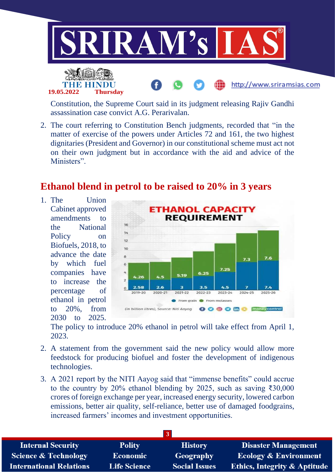

Constitution, the Supreme Court said in its judgment releasing Rajiv Gandhi assassination case convict A.G. Perarivalan.

2. The court referring to Constitution Bench judgments, recorded that "in the matter of exercise of the powers under Articles 72 and 161, the two highest dignitaries (President and Governor) in our constitutional scheme must act not on their own judgment but in accordance with the aid and advice of the Ministers".

## **Ethanol blend in petrol to be raised to 20% in 3 years**

1. The Union Cabinet approved amendments to the National Policy on Biofuels, 2018, to advance the date by which fuel companies have to increase the percentage of ethanol in petrol to 20%, from 2030 to 2025.



The policy to introduce 20% ethanol in petrol will take effect from April 1, 2023.

- 2. A statement from the government said the new policy would allow more feedstock for producing biofuel and foster the development of indigenous technologies.
- 3. A 2021 report by the NITI Aayog said that "immense benefits" could accrue to the country by 20% ethanol blending by 2025, such as saving ₹30,000 crores of foreign exchange per year, increased energy security, lowered carbon emissions, better air quality, self-reliance, better use of damaged foodgrains, increased farmers' incomes and investment opportunities.

| <b>Internal Security</b>        | <b>Polity</b>       | <b>History</b>       | <b>Disaster Management</b>              |
|---------------------------------|---------------------|----------------------|-----------------------------------------|
| <b>Science &amp; Technology</b> | Economic            | Geography            | <b>Ecology &amp; Environment</b>        |
| <b>International Relations</b>  | <b>Life Science</b> | <b>Social Issues</b> | <b>Ethics, Integrity &amp; Aptitude</b> |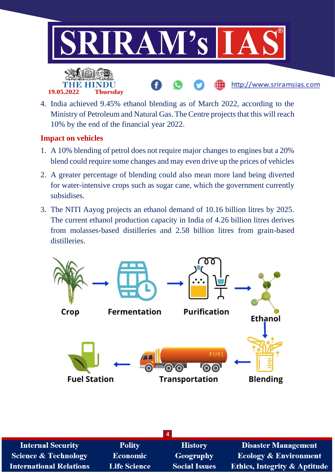

4. India achieved 9.45% ethanol blending as of March 2022, according to the Ministry of Petroleum and Natural Gas. The Centre projects that this will reach 10% by the end of the financial year 2022.

## **Impact on vehicles**

- 1. A 10% blending of petrol does not require major changes to engines but a 20% blend could require some changes and may even drive up the prices of vehicles
- 2. A greater percentage of blending could also mean more land being diverted for water-intensive crops such as sugar cane, which the government currently subsidises.
- 3. The NITI Aayog projects an ethanol demand of 10.16 billion litres by 2025. The current ethanol production capacity in India of 4.26 billion litres derives from molasses-based distilleries and 2.58 billion litres from grain-based distilleries.



| <b>Internal Security</b>       | <b>Polity</b>       | <b>History</b>       | <b>Disaster Management</b>              |
|--------------------------------|---------------------|----------------------|-----------------------------------------|
| Science & Technology           | Economic            | Geography            | <b>Ecology &amp; Environment</b>        |
| <b>International Relations</b> | <b>Life Science</b> | <b>Social Issues</b> | <b>Ethics, Integrity &amp; Aptitude</b> |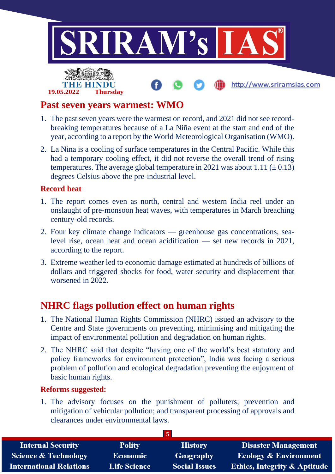

## **Past seven years warmest: WMO**

- 1. The past seven years were the warmest on record, and 2021 did not see recordbreaking temperatures because of a La Niña event at the start and end of the year, according to a report by the World Meteorological Organisation (WMO).
- 2. La Nina is a cooling of surface temperatures in the Central Pacific. While this had a temporary cooling effect, it did not reverse the overall trend of rising temperatures. The average global temperature in 2021 was about 1.11 ( $\pm$  0.13) degrees Celsius above the pre-industrial level.

## **Record heat**

- 1. The report comes even as north, central and western India reel under an onslaught of pre-monsoon heat waves, with temperatures in March breaching century-old records.
- 2. Four key climate change indicators greenhouse gas concentrations, sealevel rise, ocean heat and ocean acidification — set new records in 2021, according to the report.
- 3. Extreme weather led to economic damage estimated at hundreds of billions of dollars and triggered shocks for food, water security and displacement that worsened in 2022.

# **NHRC flags pollution effect on human rights**

- 1. The National Human Rights Commission (NHRC) issued an advisory to the Centre and State governments on preventing, minimising and mitigating the impact of environmental pollution and degradation on human rights.
- 2. The NHRC said that despite "having one of the world's best statutory and policy frameworks for environment protection", India was facing a serious problem of pollution and ecological degradation preventing the enjoyment of basic human rights.

## **Reforms suggested:**

1. The advisory focuses on the punishment of polluters; prevention and mitigation of vehicular pollution; and transparent processing of approvals and clearances under environmental laws.

| <b>Internal Security</b>        | <b>Polity</b>       | <b>History</b>       | <b>Disaster Management</b>              |
|---------------------------------|---------------------|----------------------|-----------------------------------------|
| <b>Science &amp; Technology</b> | Economic            | Geography            | Ecology & Environment                   |
| <b>International Relations</b>  | <b>Life Science</b> | <b>Social Issues</b> | <b>Ethics, Integrity &amp; Aptitude</b> |